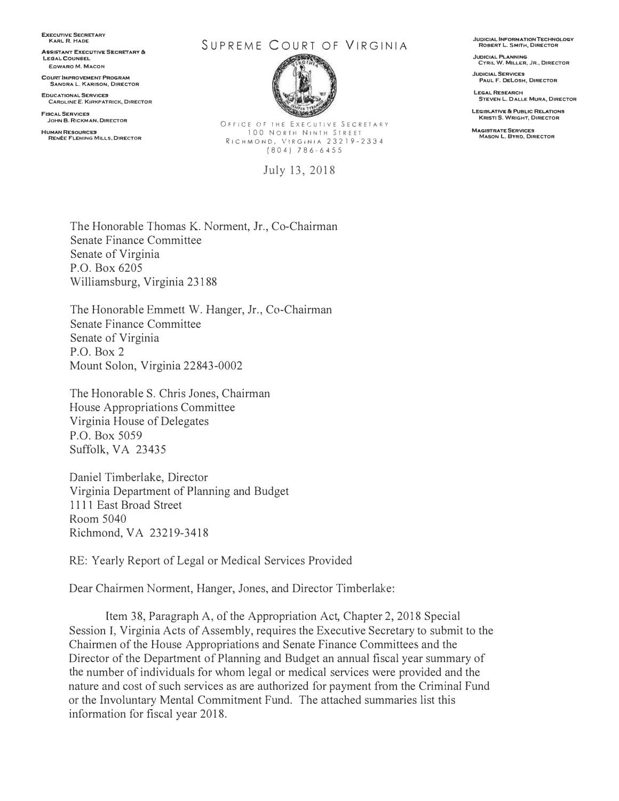**EXECUTIVE SECRETARY** 

**ASSISTANT EXECUTIVE SECRETARY & LEGAL. COUNSEL EOWARO M. MACON** 

**COURT' IMPROVEMENT PROGRAM SANDRA L. KARISON, DIRECTOR** 

**EDUCATIONAL 5ERVJCE9 CAROLINE E. KIRKPATRICK, DIRECTOR** 

**FISCAL SERVICES JOHN 8, RICKMAN, DIRECTOR** 

**HUMAN RES0URCE9 RENEE FLEMING MILLS, DIRECTOR** 

**KARL R. HADE** SUPREME COURT OF VIRGINIA



OFFICE OF THE EXECUTIVE SECRETARY 100 NORTH NINTH STREET RICHMOND, VIRGINIA 23219-2334 (804) 786-6455

July 13, 2018

**JUDICIAL INFORMATION TECHNOLOGY ROBERT L. SMITH, DIRECTOR** 

**JUDICIAL PLANNING CYRIL W. MILLER, JR., DIRECTOR** 

**JUDICIAL 5ERVICE9 PAUL F. DELOSH, DIRECTOR** 

LEGAL RESEARCH **STEVEN L. D ALL£ MURA, DIRECTOR** 

**LEGISLATfVE & PUBLIC RELATIONS KRISTI S. WRIGHT, DIRECTOR** 

**MAGISTRATE SERVICES MASON L. BVRD, DIRECTOR** 

The Honorable Thomas K. Norment, Jr., Co-Chairman Senate Finance Committee Senate of Virginia P.O. Box 6205 Williamsburg, Virginia 23188

The Honorable Emmett W. Hanger, Jr., Co-Chairman Senate Finance Committee Senate of Virginia P.O. Box 2 Mount Solon, Virginia 22843-0002

The Honorable S. Chris Jones, Chairman House Appropriations Committee Virginia House of Delegates P.O. Box 5059 Suffolk, VA 23435

Daniel Timberlake, Director Virginia Department of Planning and Budget 1111 East Broad Street Room 5040 Richmond, VA 23219-3418

RE: Yearly Report of Legal or Medical Services Provided

Dear Chairmen Norment, Hanger, Jones, and Director Timberlake:

Item 38, Paragraph A, of the Appropriation Act, Chapter 2, 2018 Special Session I, Virginia Acts of Assembly, requires the Executive Secretary to submit to the Chairmen of the House Appropriations and Senate Finance Committees and the Director of the Department of Planning and Budget an annual fiscal year summary of the number of individuals for whom legal or medical services were provided and the nature and cost of such services as are authorized for payment from the Criminal Fund or the Involuntary Mental Commitment Fund. The attached summaries list this information for fiscal year 2018.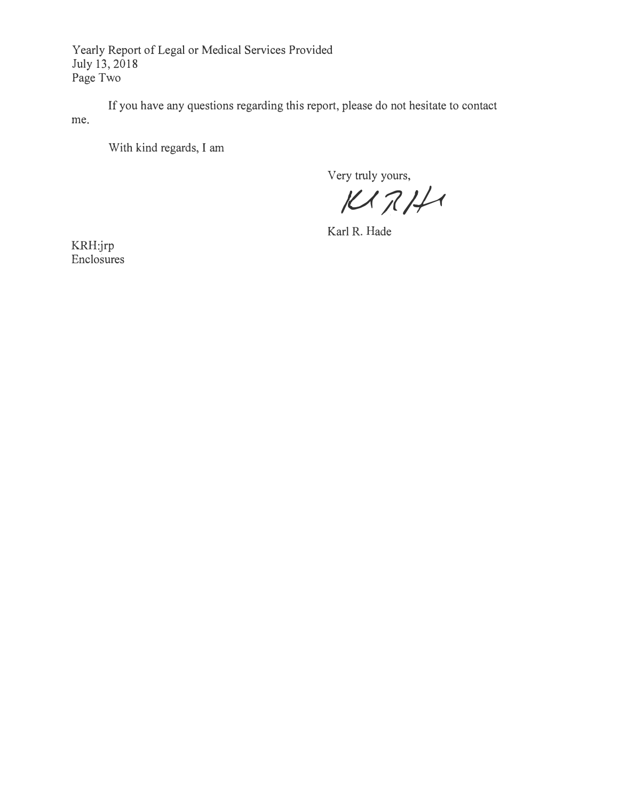Yearly Report of Legal or Medical Services Provided July 13, 2018 Page Two

If you have any questions regarding this report, please do not hesitate to contact me.

With kind regards, I am

Very truly yours,

*/U;?/-/A* 

Karl R. Hade

KRH:jrp Enclosures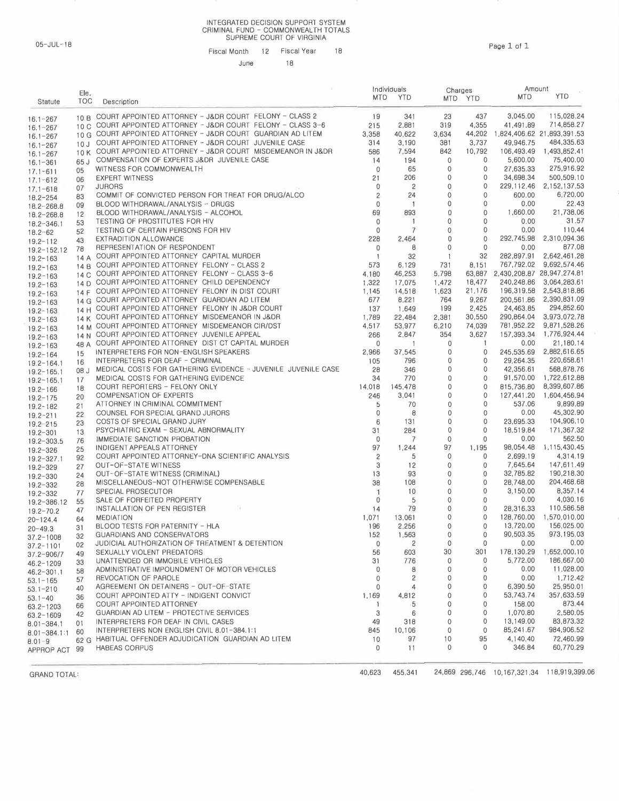## INTEGRATED DECISION SUPPORT SYSTEM CRIMINAL FUND - COMMONWEALTH TOTALS SUPREME COURT OF VIRGINIA

05-JUL-18 Page 1 of 1 Fiscal Month 12 Fiscal Year 18 June 18

| Statute                          | Ele,<br><b>TOC</b> | Description                                                                                             |                    | Individuals<br>MTD YTD  |                  | Charges<br>MTD YTD | Amount<br><b>MTD</b>              | <b>YTD</b>                            |
|----------------------------------|--------------------|---------------------------------------------------------------------------------------------------------|--------------------|-------------------------|------------------|--------------------|-----------------------------------|---------------------------------------|
| $16.1 - 267$                     | 10B                | COURT APPOINTED ATTORNEY - J&DR COURT FELONY - CLASS 2                                                  | 19                 | 341                     | 23               | 437                | 3,045.00                          | 115,028.24                            |
| $16.1 - 267$                     | 10C                | COURT APPOINTED ATTORNEY - J&DR COURT FELONY - CLASS 3-6                                                | 215                | 2,881                   | 319              | 4,355              | 41,491.89                         | 714,858.27                            |
| $16.1 - 267$                     |                    | 10 G COURT APPOINTED ATTORNEY - J&DR COURT GUARDIAN AD LITEM                                            | 3,358              | 40,622                  | 3,634            | 44,202             |                                   | 1.824.406.62 21.893.391.53            |
| $16.1 - 267$                     | 10J                | COURT APPOINTED ATTORNEY - J&DR COURT JUVENILE CASE                                                     | 314                | 3,190                   | 381              | 3,737              | 49,946.75                         | 484,335,63                            |
| $16.1 - 267$                     |                    | 10 K COURT APPOINTED ATTORNEY - J&DR COURT MISDEMEANOR IN J&DR                                          | 586                | 7,594                   | 842              | 10,792             | 106,493.49                        | 1,493,852.41                          |
| $16.1 - 361$                     | 65 J               | COMPENSATION OF EXPERTS J&DR JUVENILE CASE                                                              | 14                 | 194                     | 0                | $\mathbf{0}$       | 5,600.00                          | 75,400.00                             |
| $17.1 - 611$                     | 05                 | WITNESS FOR COMMONWEALTH                                                                                | $\mathbf{0}$       | 65                      | $\mathbf 0$      | $\mathbf 0$        | 27,635.33                         | 275,916.92                            |
| $17.1 - 612$                     | 06                 | <b>EXPERT WITNESS</b>                                                                                   | 21<br>$\mathbf 0$  | 206                     | 0<br>0           | 0<br>$\mathbf 0$   | 34,698.34<br>229, 112, 46         | 500,509.10<br>2.152.137.53            |
| $17.1 - 618$                     | 07                 | <b>JURORS</b><br>COMMIT OF CONVICTED PERSON FOR TREAT FOR DRUG/ALCO                                     | $\overline{c}$     | $\overline{c}$<br>24    | 0                | 0                  | 600.00                            | 6,720.00                              |
| $18.2 - 254$                     | 83                 | BLOOD WITHDRAWAL/ANALYSIS - DRUGS                                                                       | $\mathbf 0$        | $\overline{1}$          | 0                | $\mathbf{0}$       | 0.00                              | 22.43                                 |
| $18.2 - 268.8$                   | 09<br>12           | BLOOD WITHDRAWAL/ANALYSIS - ALCOHOL                                                                     | 69                 | 893                     | 0                | 0                  | 1,660.00                          | 21,738.06                             |
| $18.2 - 268.8$<br>$18.2 - 346.1$ | 53                 | TESTING OF PROSTITUTES FOR HIV                                                                          | $\mathbf 0$        | $\overline{1}$          | 0                | $\mathbf{0}$       | 0.00                              | 31.57                                 |
| $18.2 - 62$                      | 52                 | TESTING OF CERTAIN PERSONS FOR HIV                                                                      | $\mathbf 0$        | $\overline{7}$          | 0                | 0                  | 0.00                              | 110.44                                |
| $19.2 - 112$                     | 43                 | <b>EXTRADITION ALLOWANCE</b>                                                                            | 228                | 2,464                   | $\mathbf{0}$     | $\mathbf{0}$       | 292,745.98                        | 2,310,094.36                          |
| $19.2 - 152.12$                  | 78                 | REPRESENTATION OF RESPONDENT                                                                            | $\mathbf{0}$       | $\theta$                | 0                | $\mathbf 0$        | 0.00                              | 877.08                                |
| $19.2 - 163$                     |                    | 14 A COURT APPOINTED ATTORNEY CAPITAL MURDER                                                            | $\mathbf{1}$       | 32                      | $\mathbf{1}$     | 32                 | 282,897.91                        | 2,642,461.28                          |
| $19.2 - 163$                     |                    | 14 B COURT APPOINTED ATTORNEY FELONY - CLASS 2                                                          | 573                | 6,129                   | 731              | 8,151              | 767,792.02                        | 9,692,574.46                          |
| $19.2 - 163$                     | 14C                | COURT APPOINTED ATTORNEY FELONY - CLASS 3-6                                                             | 4,180              | 46,253                  | 5,798            |                    | 63,887 2,430,208.87 28,947,274.81 |                                       |
| $19.2 - 163$                     | 14D                | COURT APPOINTED ATTORNEY CHILD DEPENDENCY                                                               | 1,322              | 17,075                  | 1,472            | 18,477             | 240,248.86                        | 3,064,283.61                          |
| $19.2 - 163$                     |                    | 14 F COURT APPOINTED ATTORNEY FELONY IN DIST COURT                                                      | 1,145              | 14,518                  | 1,623            | 21,176             | 196,319.58                        | 2,543,818.86                          |
| $19.2 - 163$                     |                    | 14 G COURT APPOINTED ATTORNEY GUARDIAN AD LITEM                                                         | 677                | 8,221                   | 764              | 9,267              | 200,561.86                        | 2,390,831.09                          |
| $19.2 - 163$                     |                    | 14 H COURT APPOINTED ATTORNEY FELONY IN J&DR COURT<br>14 K COURT APPOINTED ATTORNEY MISDEMEANOR IN J&DR | 137                | 1,649                   | 199              | 2,425<br>30.550    | 24,463.85                         | 294,852.60<br>290,864.04 3,973,072.78 |
| $19.2 - 163$                     |                    | 14 M COURT APPOINTED ATTORNEY MISDEMEANOR CIR/DST                                                       | 1,789<br>4,517     | 22,484<br>53,977        | 2,381<br>6,210   | 74,039             | 781,952.22                        | 9,871,528.26                          |
| $19.2 - 163$                     |                    | COURT APPOINTED ATTORNEY JUVENILE APPEAL                                                                | 266                | 2,847                   | 354              | 3,627              | 157,393.34                        | 1,776,924.44                          |
| $19.2 - 163$                     | 14 N               | 48 A COURT APPOINTED ATTORNEY DIST CT CAPITAL MURDER                                                    | $\mathbf 0$        | $\overline{1}$          | 0                | $\mathbf{1}$       | 0.00                              | 21,180.14                             |
| $19.2 - 163$                     | 15                 | INTERPRETERS FOR NON-ENGLISH SPEAKERS                                                                   | 2,966              | 37,545                  | 0                | 0                  | 245,535.69                        | 2,882,616.65                          |
| $19.2 - 164$<br>$19.2 - 164.1$   | 16                 | INTERPRETERS FOR DEAF - CRIMINAL                                                                        | 105                | 796                     | 0                | $\mathbf{0}$       | 29,264.35                         | 220,658.61                            |
| $19.2 - 165.1$                   |                    | 08 J MEDICAL COSTS FOR GATHERING EVIDENCE - JUVENILE JUVENILE CASE                                      | 28                 | 346                     | 0                | $\mathbf{0}$       | 42,356.61                         | 568,878.76                            |
| $19.2 - 165.1$                   | 17                 | MEDICAL COSTS FOR GATHERING EVIDENCE                                                                    | 34                 | 770                     | $\mathbf{0}$     | $\mathbf{0}$       | 91,570.00                         | 1,722,612.88                          |
| $19.2 - 166$                     | 18                 | COURT REPORTERS - FELONY ONLY                                                                           | 14,018             | 145,478                 | 0                | $\mathbf{0}$       | 815,736.80                        | 8,399,607.86                          |
| $19.2 - 175$                     | 20                 | <b>COMPENSATION OF EXPERTS</b>                                                                          | 246                | 3,041                   | 0                | $\mathbf 0$        | 127,441.20                        | 1,604,456.94                          |
| $19.2 - 182$                     | 21                 | ATTORNEY IN CRIMINAL COMMITMENT                                                                         | 5                  | 70                      | 0                | $\mathbf{0}$       | 537.06                            | 9,899.89                              |
| $19.2 - 211$                     | 22                 | COUNSEL FOR SPECIAL GRAND JURORS                                                                        | $\mathbf 0$        | 8                       | 0                | 0                  | 0.00                              | 45,302.90                             |
| $19.2 - 215$                     | 23                 | COSTS OF SPECIAL GRAND JURY                                                                             | 6                  | 131                     | 0                | $\mathbf 0$        | 23,695.33                         | 104,906.10                            |
| $19.2 - 301$                     | 13                 | PSYCHIATRIC EXAM - SEXUAL ABNORMALITY                                                                   | 31<br>$\mathbf{0}$ | 284                     | 0<br>$\mathbf 0$ | 0<br>$\mathbf{0}$  | 18,519.84<br>0.00                 | 171,367.32<br>562.50                  |
| $19.2 - 303.5$                   | 76                 | IMMEDIATE SANCTION PROBATION<br>INDIGENT APPEALS ATTORNEY                                               | 97                 | $\overline{7}$<br>1,244 | 97               | 1,195              | 98,054.48                         | 1,115,430.45                          |
| $19.2 - 326$                     | 25                 | COURT APPOINTED ATTORNEY-DNA SCIENTIFIC ANALYSIS                                                        | $\overline{2}$     | 5                       | $\mathbf 0$      | $\mathbf 0$        | 2,699.19                          | 4,314.19                              |
| $19.2 - 327.1$                   | 92<br>27           | OUT-OF-STATE WITNESS                                                                                    | 3                  | 12                      | $\mathbf 0$      | $\mathbf 0$        | 7,645.64                          | 147,611.49                            |
| $19.2 - 329$<br>$19.2 - 330$     | 24                 | OUT-OF-STATE WITNESS (CRIMINAL)                                                                         | 13                 | 93                      | 0                | 0                  | 32,785.82                         | 190,218.30                            |
| $19.2 - 332$                     | 28                 | MISCELLANEOUS-NOT OTHERWISE COMPENSABLE                                                                 | 38                 | 108                     | 0                | 0                  | 28,748,00                         | 204,468.68                            |
| $19.2 - 332$                     | 77                 | SPECIAL PROSECUTOR                                                                                      | $\mathbf{1}$       | 10                      | 0                | 0                  | 3,150.00                          | 8,357.14                              |
| 19.2-386.12                      | 55                 | SALE OF FORFEITED PROPERTY                                                                              | $\mathbf 0$        | 5                       | 0                | 0                  | 0.00                              | 4,030.16                              |
| $19.2 - 70.2$                    | 47                 | INSTALLATION OF PEN REGISTER                                                                            | 14                 | 79                      | 0                | $\mathbf{0}$       | 28,316.33                         | 110,586,58                            |
| $20 - 124.4$                     | 64                 | <b>MEDIATION</b>                                                                                        | 1,071              | 13,061                  | 0                | $\mathbf{0}$       | 128,760.00                        | 1,570,010.00                          |
| $20 - 49.3$                      | 31                 | BLOOD TESTS FOR PATERNITY - HLA                                                                         | 196                | 2,256                   | 0                | $\mathbf{0}$       | 13,720.00                         | 156,025.00                            |
| $37.2 - 1008$                    | 32                 | GUARDIANS AND CONSERVATORS                                                                              | 152                | 1,563                   | 0                | 0                  | 90,503.35                         | 973,195,03                            |
| $37.2 - 1101$                    | 02                 | JUDICIAL AUTHORIZATION OF TREATMENT & DETENTION                                                         | $\mathbf 0$        | $\overline{c}$          | $\mathbf 0$      | 0                  | 0.00                              | 0.00                                  |
| $37.2 - 906/7$                   | 49                 | SEXUALLY VIOLENT PREDATORS<br>UNATTENDED OR IMMOBILE VEHICLES                                           | 56                 | 603<br>776              | 30<br>0          | 301<br>$\mathbf 0$ | 178,130.29<br>5,772.00            | 1,652,000,10<br>186,667.00            |
| $46.2 - 1209$                    | 33                 | ADMINISTRATIVE IMPOUNDMENT OF MOTOR VEHICLES                                                            | 31<br>$\mathbf 0$  | 8                       | 0                | 0                  | 0.00                              | 11,028.00                             |
| $46.2 - 301.1$                   | 58<br>57           | REVOCATION OF PAROLE                                                                                    | 0                  | $\overline{c}$          | 0                | 0                  | 0.00                              | 1,712.42                              |
| $53.1 - 165$                     | 40                 | AGREEMENT ON DETAINERS - OUT-OF-STATE                                                                   | 0                  | $\overline{4}$          | 0                | 0                  | 6,390.50                          | 25,950.01                             |
| $53.1 - 210$<br>$53.1 - 40$      | 36                 | COURT APPOINTED ATTY - INDIGENT CONVICT                                                                 | 1,169              | 4,812                   | 0                | 0                  | 53,743.74                         | 357,633.59                            |
| $63.2 - 1203$                    | 66                 | <b>COURT APPOINTED ATTORNEY</b>                                                                         | 1                  | 5                       | 0                | 0                  | 158.00                            | 873.44                                |
| $63.2 - 1609$                    | 42                 | GUARDIAN AD LITEM - PROTECTIVE SERVICES                                                                 | 3                  | 6                       | 0                | 0                  | 1,070.80                          | 2,580.05                              |
| $8.01 - 384.1$                   | 01                 | INTERPRETERS FOR DEAF IN CIVIL CASES                                                                    | 49                 | 318                     | 0                | 0                  | 13,149.00                         | 83,873.32                             |
| $8.01 - 384.1:1$                 | 60                 | INTERPRETERS NON ENGLISH CIVIL 8.01-384.1:1                                                             | 845                | 10,106                  | $\mathbf 0$      | 0                  | 85,241.67                         | 984,906.52                            |
| $8.01 - 9$                       |                    | 62 G HABITUAL OFFENDER ADJUDICATION GUARDIAN AD LITEM                                                   | 10                 | 97                      | 10               | 95                 | 4,140,40                          | 72,460.99                             |
| APPROP ACT 99                    |                    | <b>HABEAS CORPUS</b>                                                                                    | $\mathbf 0$        | 11                      | $\mathbf 0$      | $\mathbf 0$        | 346.84                            | 60,770.29                             |

GRAND TOTAL: CHAND TOTAL: CHANGE 118,919,399.06